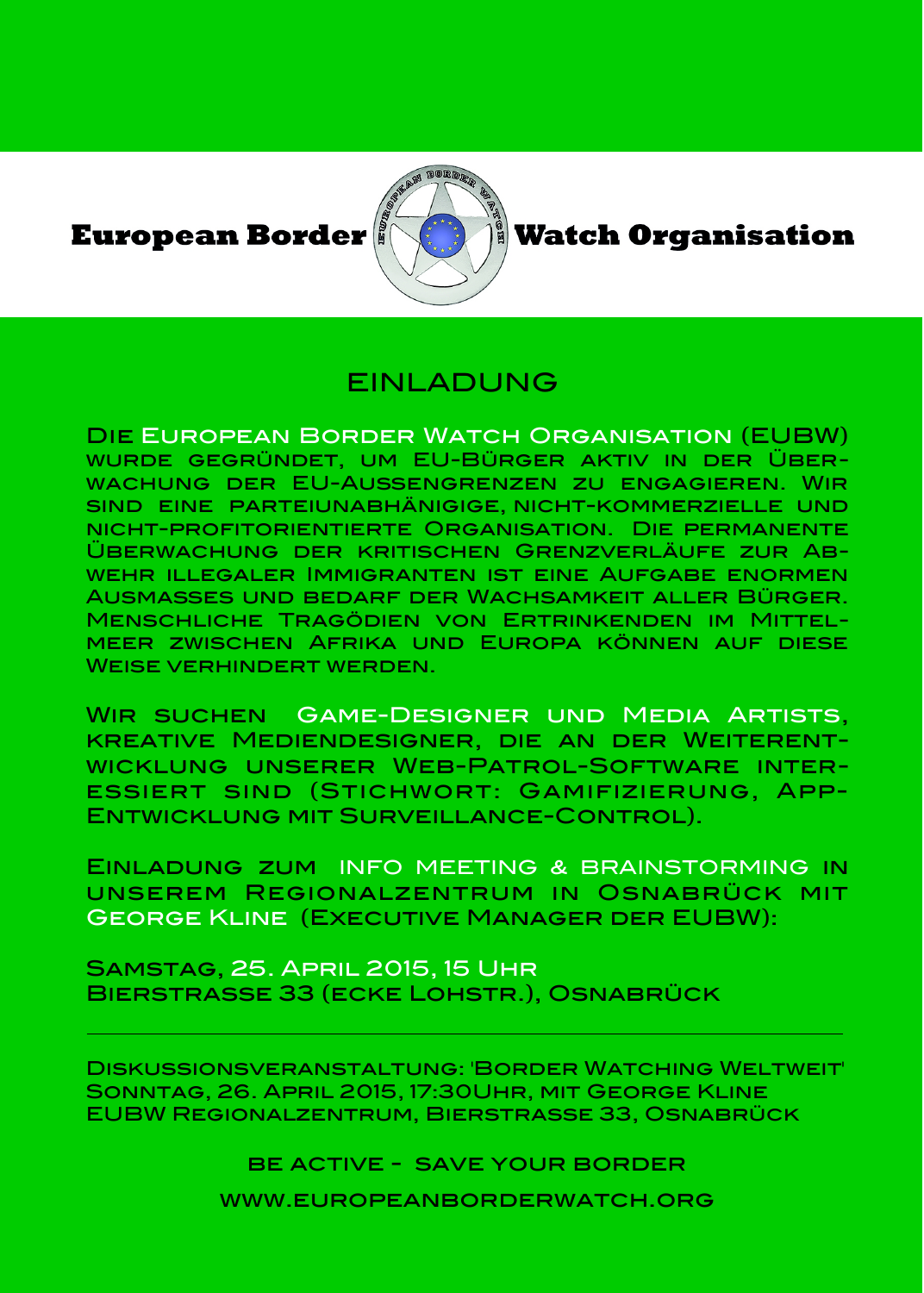**European Border** 



**Watch Organisation** 

## FINI ADUNG

Die European Border Watch Organisation (EUBW) wurde gegründet, um EU-Bürger aktiv in der Überwachung der EU-Außengrenzen zu engagieren. Wir sind eine parteiunabhänigige, nicht-kommerzielle und nicht-profitorientierte Organisation. Die permanente Überwachung der kritischen Grenzverläufe zur Abwehr illegaler Immigranten ist eine Aufgabe enormen Ausmaßes und bedarf der Wachsamkeit aller Bürger. Menschliche Tragödien von Ertrinkenden im Mittelmeer zwischen Afrika und Europa können auf diese Weise verhindert werden.

Wir suchen Game-Designer und Media Artists, kreative Mediendesigner, die an der Weiterentwicklung unserer Web-Patrol-Software interessiert sind (Stichwort: Gamifizierung, App-Entwicklung mit Surveillance-Control).

Einladung zum INFO MEETING & BRAINSTORMING in unserem Regionalzentrum in Osnabrück mit George Kline (Executive Manager der EUBW):

Samstag, 25. April 2015, 15 Uhr Bierstrasse 33 (ecke Lohstr.), Osnabrück

Diskussionsveranstaltung: 'Border Watching Weltweit' Sonntag, 26. April 2015, 17:30Uhr, mit George Kline EUBW Regionalzentrum, Bierstrasse 33, Osnabrück

be active - save your border

www.europeanborderwatch.org